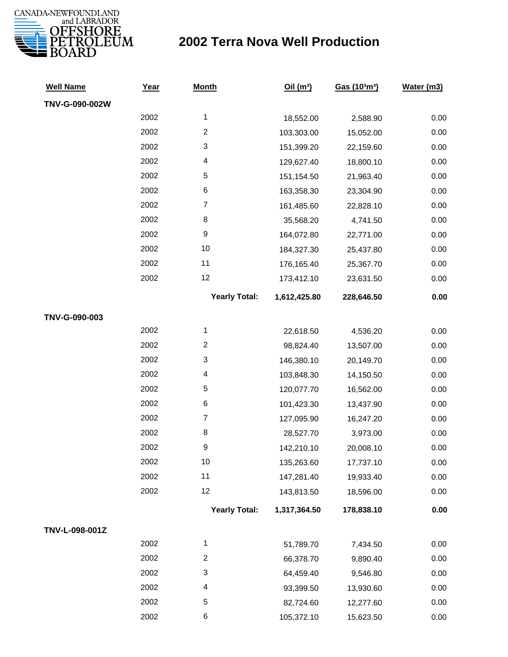

## **2002 Terra Nova Well Production**

| <b>Well Name</b> | Year | <b>Month</b>         | Oil $(m^3)$  | Gas (103m3) | Water (m3) |
|------------------|------|----------------------|--------------|-------------|------------|
| TNV-G-090-002W   |      |                      |              |             |            |
|                  | 2002 | $\mathbf{1}$         | 18,552.00    | 2,588.90    | 0.00       |
|                  | 2002 | $\overline{c}$       | 103,303.00   | 15,052.00   | 0.00       |
|                  | 2002 | 3                    | 151,399.20   | 22,159.60   | 0.00       |
|                  | 2002 | 4                    | 129,627.40   | 18,800.10   | 0.00       |
|                  | 2002 | 5                    | 151,154.50   | 21,963.40   | 0.00       |
|                  | 2002 | 6                    | 163,358.30   | 23,304.90   | 0.00       |
|                  | 2002 | $\boldsymbol{7}$     | 161,485.60   | 22,828.10   | 0.00       |
|                  | 2002 | 8                    | 35,568.20    | 4,741.50    | 0.00       |
|                  | 2002 | 9                    | 164,072.80   | 22,771.00   | 0.00       |
|                  | 2002 | 10                   | 184,327.30   | 25,437.80   | 0.00       |
|                  | 2002 | 11                   | 176,165.40   | 25,367.70   | 0.00       |
|                  | 2002 | 12                   | 173,412.10   | 23,631.50   | 0.00       |
|                  |      | <b>Yearly Total:</b> | 1,612,425.80 | 228,646.50  | 0.00       |
| TNV-G-090-003    |      |                      |              |             |            |
|                  | 2002 | $\mathbf{1}$         | 22,618.50    | 4,536.20    | 0.00       |
|                  | 2002 | $\overline{c}$       | 98,824.40    | 13,507.00   | 0.00       |
|                  | 2002 | 3                    | 146,380.10   | 20,149.70   | 0.00       |
|                  | 2002 | 4                    | 103,848.30   | 14,150.50   | 0.00       |
|                  | 2002 | 5                    | 120,077.70   | 16,562.00   | 0.00       |
|                  | 2002 | 6                    | 101,423.30   | 13,437.90   | 0.00       |
|                  | 2002 | $\boldsymbol{7}$     | 127,095.90   | 16,247.20   | 0.00       |
|                  | 2002 | 8                    | 28,527.70    | 3,973.00    | 0.00       |
|                  | 2002 | 9                    | 142,210.10   | 20,008.10   | 0.00       |
|                  | 2002 | 10                   | 135,263.60   | 17,737.10   | 0.00       |
|                  | 2002 | 11                   | 147,281.40   | 19,933.40   | 0.00       |
|                  | 2002 | 12                   | 143,813.50   | 18,596.00   | 0.00       |
|                  |      | <b>Yearly Total:</b> | 1,317,364.50 | 178,838.10  | 0.00       |
| TNV-L-098-001Z   |      |                      |              |             |            |
|                  | 2002 | $\mathbf{1}$         | 51,789.70    | 7,434.50    | 0.00       |
|                  | 2002 | $\boldsymbol{2}$     | 66,378.70    | 9,890.40    | 0.00       |
|                  | 2002 | 3                    | 64,459.40    | 9,546.80    | 0.00       |
|                  | 2002 | 4                    | 93,399.50    | 13,930.60   | 0.00       |
|                  | 2002 | 5                    | 82,724.60    | 12,277.60   | 0.00       |
|                  | 2002 | 6                    | 105,372.10   | 15,623.50   | 0.00       |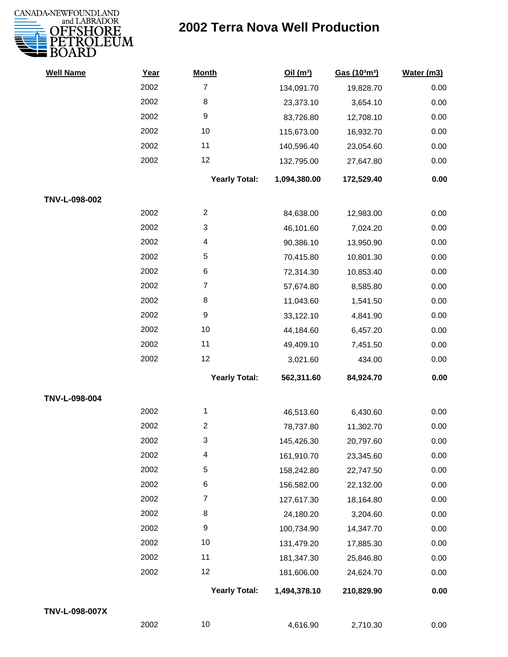

## **2002 Terra Nova Well Production**

| <b>Well Name</b> | Year | <b>Month</b>         | Oil(m <sup>3</sup> ) | Gas (103m3) | Water (m3) |
|------------------|------|----------------------|----------------------|-------------|------------|
|                  | 2002 | $\overline{7}$       | 134,091.70           | 19,828.70   | 0.00       |
|                  | 2002 | 8                    | 23,373.10            | 3,654.10    | 0.00       |
|                  | 2002 | 9                    | 83,726.80            | 12,708.10   | 0.00       |
|                  | 2002 | 10                   | 115,673.00           | 16,932.70   | 0.00       |
|                  | 2002 | 11                   | 140,596.40           | 23,054.60   | 0.00       |
|                  | 2002 | 12                   | 132,795.00           | 27,647.80   | 0.00       |
|                  |      | <b>Yearly Total:</b> | 1,094,380.00         | 172,529.40  | 0.00       |
| TNV-L-098-002    |      |                      |                      |             |            |
|                  | 2002 | $\overline{c}$       | 84,638.00            | 12,983.00   | 0.00       |
|                  | 2002 | 3                    | 46,101.60            | 7,024.20    | 0.00       |
|                  | 2002 | 4                    | 90,386.10            | 13,950.90   | 0.00       |
|                  | 2002 | 5                    | 70,415.80            | 10,801.30   | 0.00       |
|                  | 2002 | 6                    | 72,314.30            | 10,853.40   | 0.00       |
|                  | 2002 | $\overline{7}$       | 57,674.80            | 8,585.80    | 0.00       |
|                  | 2002 | 8                    | 11,043.60            | 1,541.50    | 0.00       |
|                  | 2002 | 9                    | 33,122.10            | 4,841.90    | 0.00       |
|                  | 2002 | 10                   | 44,184.60            | 6,457.20    | 0.00       |
|                  | 2002 | 11                   | 49,409.10            | 7,451.50    | 0.00       |
|                  | 2002 | 12                   | 3,021.60             | 434.00      | 0.00       |
|                  |      | <b>Yearly Total:</b> | 562,311.60           | 84,924.70   | 0.00       |
| TNV-L-098-004    |      |                      |                      |             |            |
|                  | 2002 | $\mathbf{1}$         | 46,513.60            | 6,430.60    | 0.00       |
|                  | 2002 | $\overline{c}$       | 78,737.80            | 11,302.70   | 0.00       |
|                  | 2002 | 3                    | 145,426.30           | 20,797.60   | 0.00       |
|                  | 2002 | 4                    | 161,910.70           | 23,345.60   | 0.00       |
|                  | 2002 | 5                    | 158,242.80           | 22,747.50   | 0.00       |
|                  | 2002 | 6                    | 156,582.00           | 22,132.00   | 0.00       |
|                  | 2002 | 7                    | 127,617.30           | 18,164.80   | 0.00       |
|                  | 2002 | 8                    | 24,180.20            | 3,204.60    | 0.00       |
|                  | 2002 | 9                    | 100,734.90           | 14,347.70   | 0.00       |
|                  | 2002 | $10$                 | 131,479.20           | 17,885.30   | 0.00       |
|                  | 2002 | 11                   | 181,347.30           | 25,846.80   | 0.00       |
|                  | 2002 | 12                   | 181,606.00           | 24,624.70   | 0.00       |
|                  |      | <b>Yearly Total:</b> | 1,494,378.10         | 210,829.90  | 0.00       |
| TNV-L-098-007X   |      |                      |                      |             |            |
|                  | 2002 | $10\,$               | 4,616.90             | 2,710.30    | 0.00       |